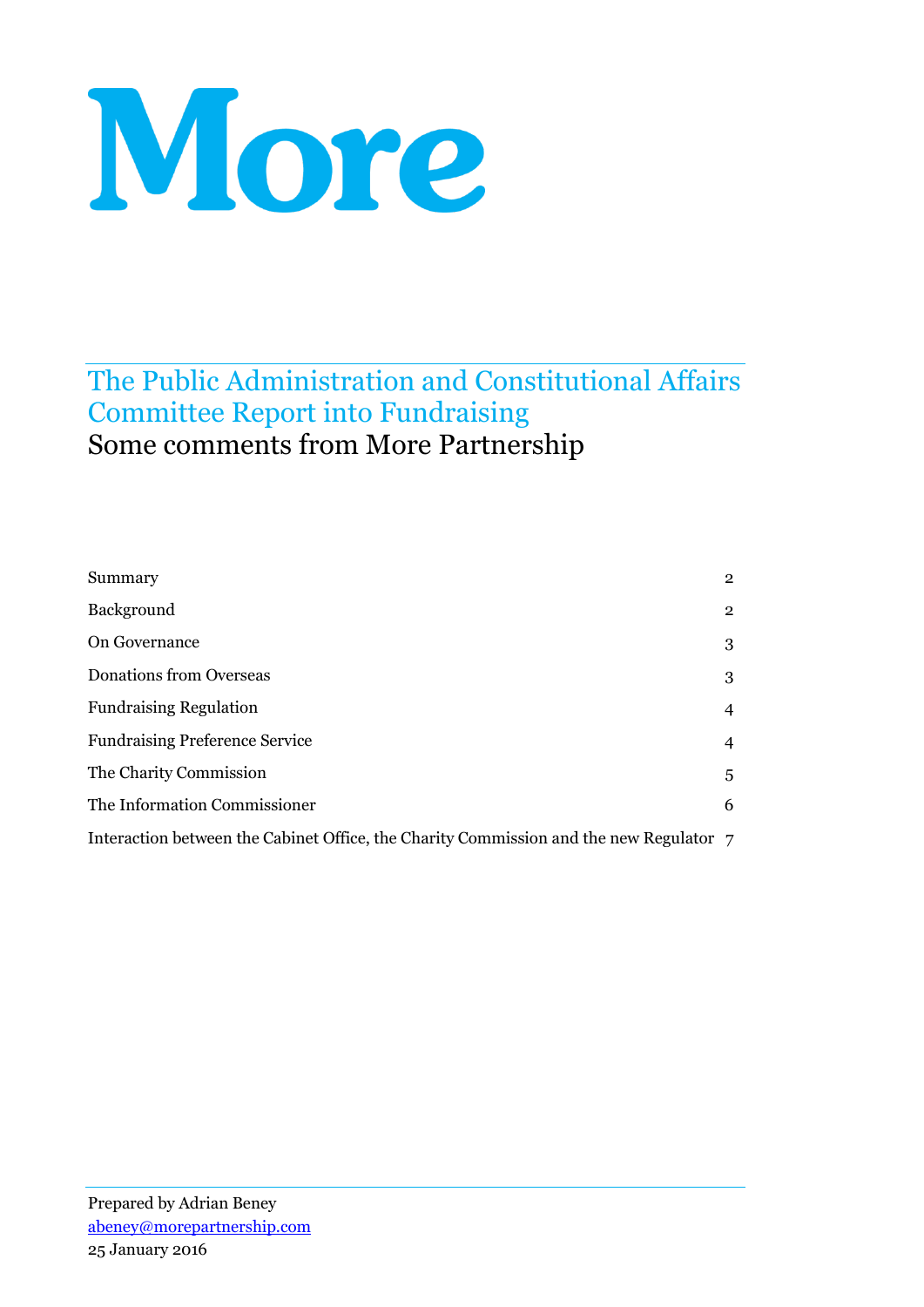# More

# The Public Administration and Constitutional Affairs Committee Report into Fundraising Some comments from More Partnership

| Summary                                                                                | $\overline{2}$ |
|----------------------------------------------------------------------------------------|----------------|
| Background                                                                             | $\overline{2}$ |
| On Governance                                                                          | 3              |
| <b>Donations from Overseas</b>                                                         | 3              |
| <b>Fundraising Regulation</b>                                                          | $\overline{4}$ |
| <b>Fundraising Preference Service</b>                                                  | $\overline{4}$ |
| The Charity Commission                                                                 | 5              |
| The Information Commissioner                                                           | 6              |
| Interaction between the Cabinet Office, the Charity Commission and the new Regulator 7 |                |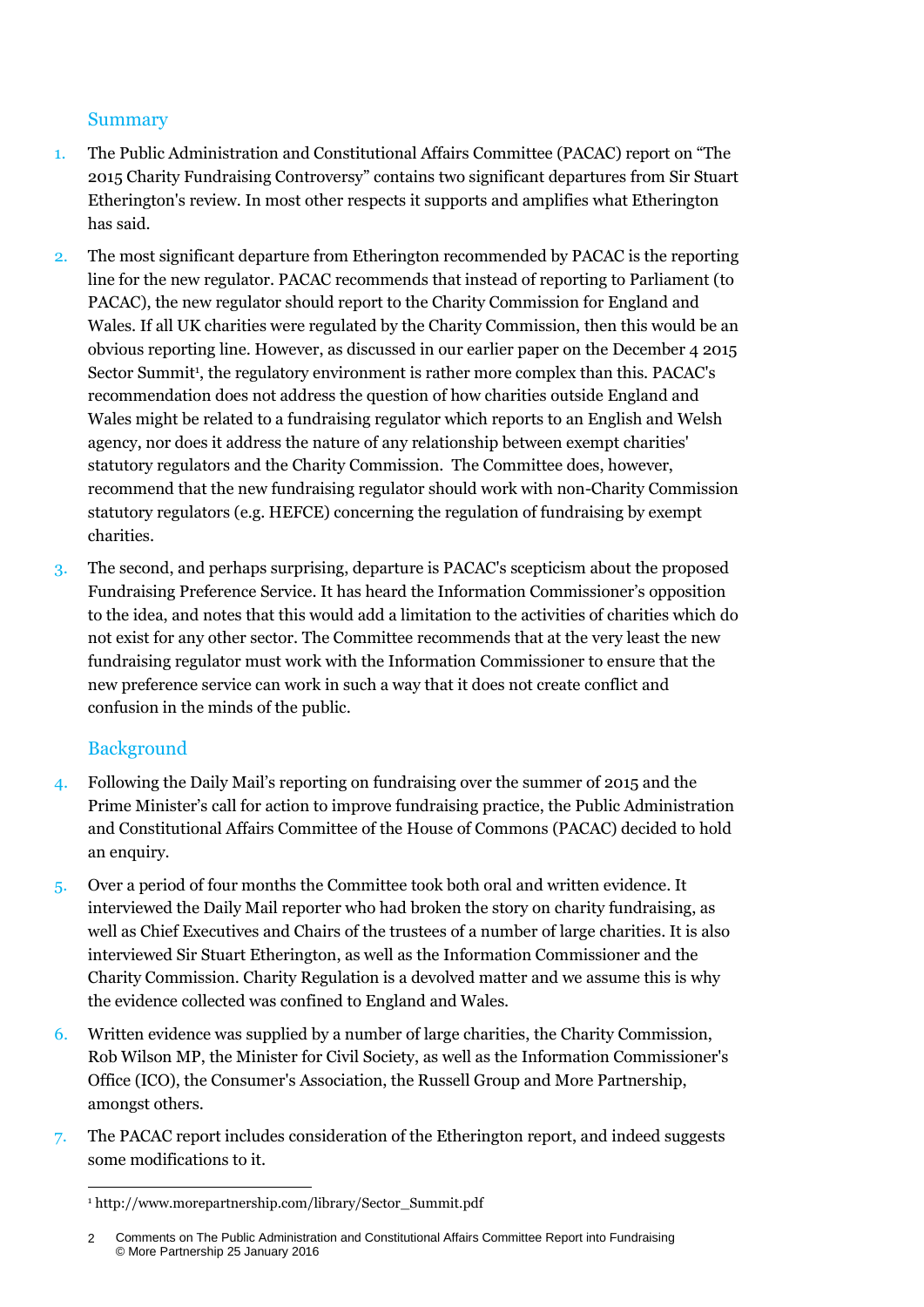#### **Summary**

- 1. The Public Administration and Constitutional Affairs Committee (PACAC) report on "The 2015 Charity Fundraising Controversy" contains two significant departures from Sir Stuart Etherington's review. In most other respects it supports and amplifies what Etherington has said.
- 2. The most significant departure from Etherington recommended by PACAC is the reporting line for the new regulator. PACAC recommends that instead of reporting to Parliament (to PACAC), the new regulator should report to the Charity Commission for England and Wales. If all UK charities were regulated by the Charity Commission, then this would be an obvious reporting line. However, as discussed in our earlier paper on the December 4 2015 Sector Summit<sup>1</sup>, the regulatory environment is rather more complex than this. PACAC's recommendation does not address the question of how charities outside England and Wales might be related to a fundraising regulator which reports to an English and Welsh agency, nor does it address the nature of any relationship between exempt charities' statutory regulators and the Charity Commission. The Committee does, however, recommend that the new fundraising regulator should work with non-Charity Commission statutory regulators (e.g. HEFCE) concerning the regulation of fundraising by exempt charities.
- 3. The second, and perhaps surprising, departure is PACAC's scepticism about the proposed Fundraising Preference Service. It has heard the Information Commissioner's opposition to the idea, and notes that this would add a limitation to the activities of charities which do not exist for any other sector. The Committee recommends that at the very least the new fundraising regulator must work with the Information Commissioner to ensure that the new preference service can work in such a way that it does not create conflict and confusion in the minds of the public.

# Background

-

- 4. Following the Daily Mail's reporting on fundraising over the summer of 2015 and the Prime Minister's call for action to improve fundraising practice, the Public Administration and Constitutional Affairs Committee of the House of Commons (PACAC) decided to hold an enquiry.
- 5. Over a period of four months the Committee took both oral and written evidence. It interviewed the Daily Mail reporter who had broken the story on charity fundraising, as well as Chief Executives and Chairs of the trustees of a number of large charities. It is also interviewed Sir Stuart Etherington, as well as the Information Commissioner and the Charity Commission. Charity Regulation is a devolved matter and we assume this is why the evidence collected was confined to England and Wales.
- 6. Written evidence was supplied by a number of large charities, the Charity Commission, Rob Wilson MP, the Minister for Civil Society, as well as the Information Commissioner's Office (ICO), the Consumer's Association, the Russell Group and More Partnership, amongst others.
- 7. The PACAC report includes consideration of the Etherington report, and indeed suggests some modifications to it.

<sup>1</sup> http://www.morepartnership.com/library/Sector\_Summit.pdf

Comments on The Public Administration and Constitutional Affairs Committee Report into Fundraising © More Partnership 25 January 2016  $\mathfrak{p}$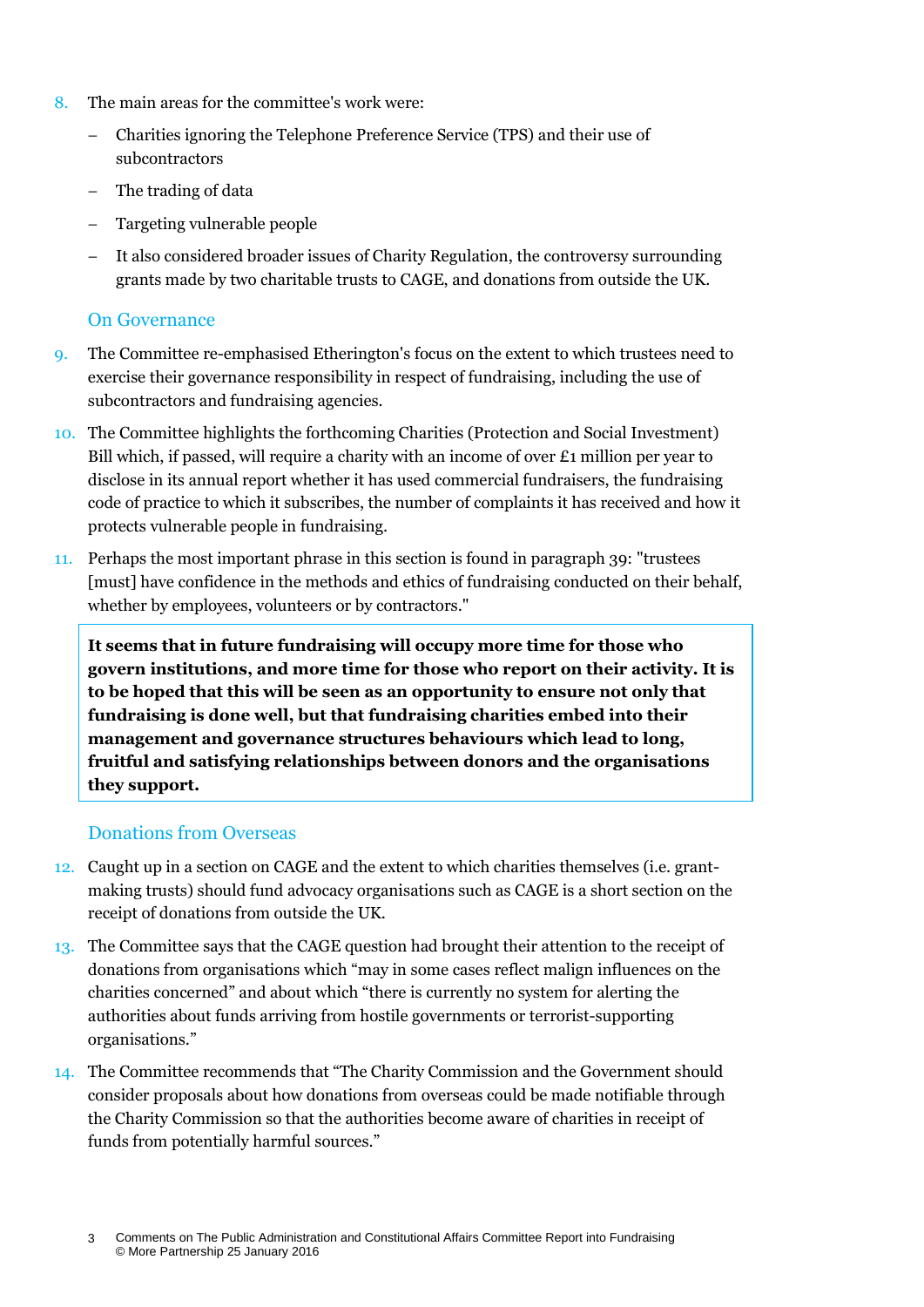- 8. The main areas for the committee's work were:
	- Charities ignoring the Telephone Preference Service (TPS) and their use of subcontractors
	- The trading of data
	- Targeting vulnerable people
	- It also considered broader issues of Charity Regulation, the controversy surrounding grants made by two charitable trusts to CAGE, and donations from outside the UK.

#### On Governance

- 9. The Committee re-emphasised Etherington's focus on the extent to which trustees need to exercise their governance responsibility in respect of fundraising, including the use of subcontractors and fundraising agencies.
- 10. The Committee highlights the forthcoming Charities (Protection and Social Investment) Bill which, if passed, will require a charity with an income of over  $\pounds$  million per year to disclose in its annual report whether it has used commercial fundraisers, the fundraising code of practice to which it subscribes, the number of complaints it has received and how it protects vulnerable people in fundraising.
- 11. Perhaps the most important phrase in this section is found in paragraph 39: "trustees [must] have confidence in the methods and ethics of fundraising conducted on their behalf, whether by employees, volunteers or by contractors."

**It seems that in future fundraising will occupy more time for those who govern institutions, and more time for those who report on their activity. It is to be hoped that this will be seen as an opportunity to ensure not only that fundraising is done well, but that fundraising charities embed into their management and governance structures behaviours which lead to long, fruitful and satisfying relationships between donors and the organisations they support.**

#### Donations from Overseas

- 12. Caught up in a section on CAGE and the extent to which charities themselves (i.e. grantmaking trusts) should fund advocacy organisations such as CAGE is a short section on the receipt of donations from outside the UK.
- 13. The Committee says that the CAGE question had brought their attention to the receipt of donations from organisations which "may in some cases reflect malign influences on the charities concerned" and about which "there is currently no system for alerting the authorities about funds arriving from hostile governments or terrorist-supporting organisations."
- 14. The Committee recommends that "The Charity Commission and the Government should consider proposals about how donations from overseas could be made notifiable through the Charity Commission so that the authorities become aware of charities in receipt of funds from potentially harmful sources."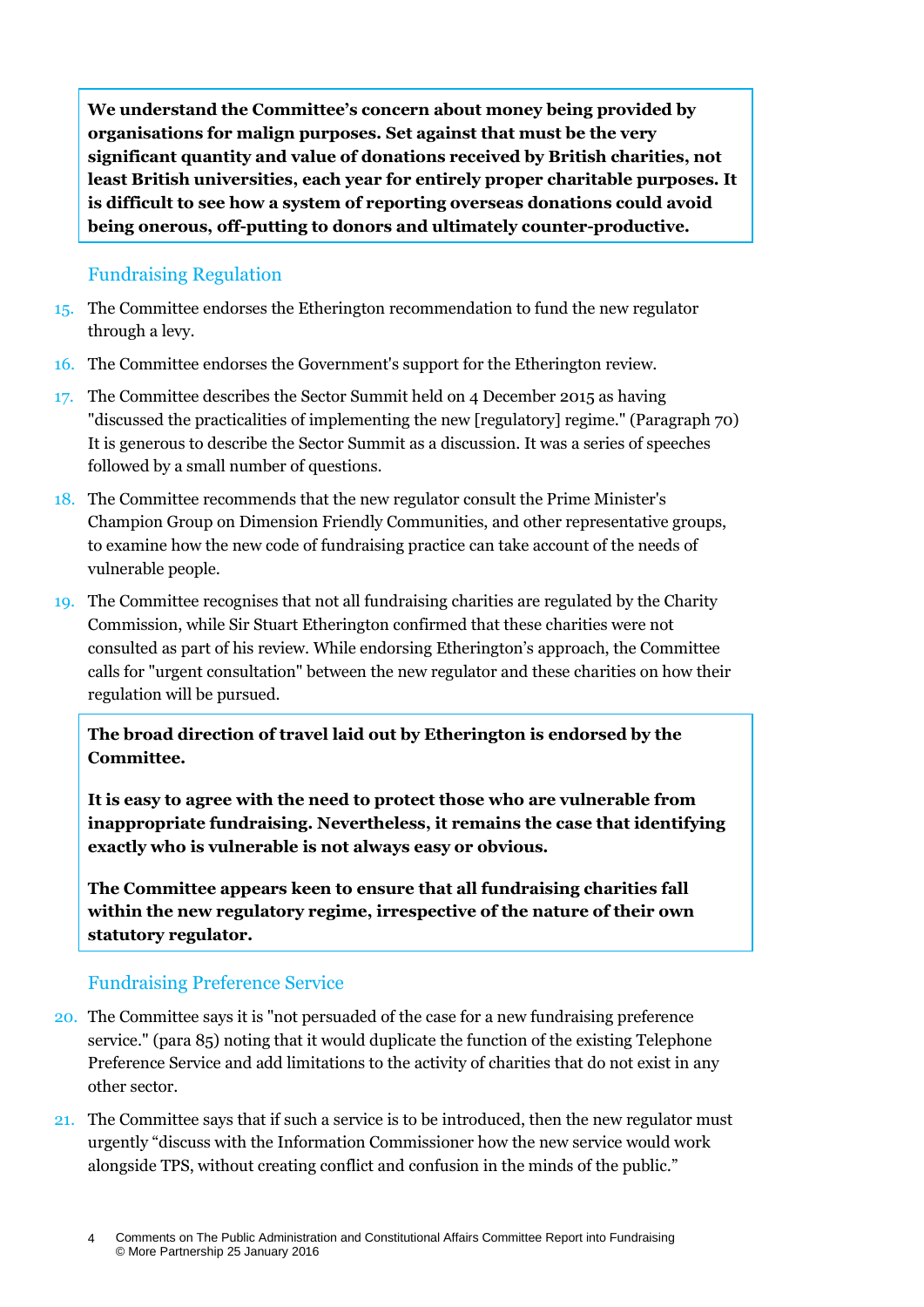**We understand the Committee's concern about money being provided by organisations for malign purposes. Set against that must be the very significant quantity and value of donations received by British charities, not least British universities, each year for entirely proper charitable purposes. It is difficult to see how a system of reporting overseas donations could avoid being onerous, off-putting to donors and ultimately counter-productive.**

#### Fundraising Regulation

- 15. The Committee endorses the Etherington recommendation to fund the new regulator through a levy.
- 16. The Committee endorses the Government's support for the Etherington review.
- 17. The Committee describes the Sector Summit held on 4 December 2015 as having "discussed the practicalities of implementing the new [regulatory] regime." (Paragraph 70) It is generous to describe the Sector Summit as a discussion. It was a series of speeches followed by a small number of questions.
- 18. The Committee recommends that the new regulator consult the Prime Minister's Champion Group on Dimension Friendly Communities, and other representative groups, to examine how the new code of fundraising practice can take account of the needs of vulnerable people.
- 19. The Committee recognises that not all fundraising charities are regulated by the Charity Commission, while Sir Stuart Etherington confirmed that these charities were not consulted as part of his review. While endorsing Etherington's approach, the Committee calls for "urgent consultation" between the new regulator and these charities on how their regulation will be pursued.

### **The broad direction of travel laid out by Etherington is endorsed by the Committee.**

**It is easy to agree with the need to protect those who are vulnerable from inappropriate fundraising. Nevertheless, it remains the case that identifying exactly who is vulnerable is not always easy or obvious.**

**The Committee appears keen to ensure that all fundraising charities fall**  within the new regulatory regime, irrespective of the nature of their own **statutory regulator.**

# Fundraising Preference Service

- 20. The Committee says it is "not persuaded of the case for a new fundraising preference service." (para 85) noting that it would duplicate the function of the existing Telephone Preference Service and add limitations to the activity of charities that do not exist in any other sector.
- 21. The Committee says that if such a service is to be introduced, then the new regulator must urgently "discuss with the Information Commissioner how the new service would work alongside TPS, without creating conflict and confusion in the minds of the public."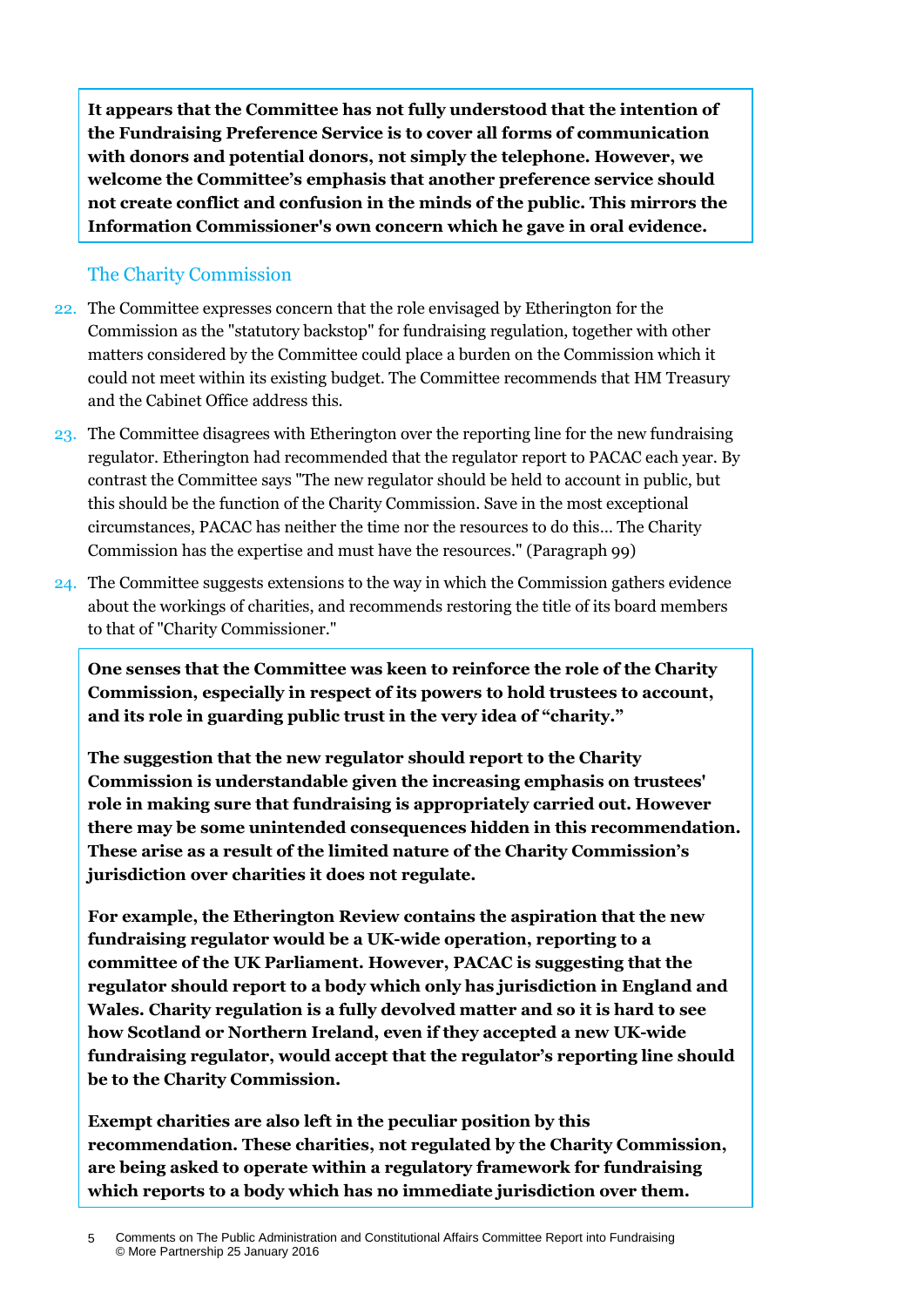**It appears that the Committee has not fully understood that the intention of the Fundraising Preference Service is to cover all forms of communication with donors and potential donors, not simply the telephone. However, we welcome the Committee's emphasis that another preference service should not create conflict and confusion in the minds of the public. This mirrors the Information Commissioner's own concern which he gave in oral evidence.**

#### The Charity Commission

- 22. The Committee expresses concern that the role envisaged by Etherington for the Commission as the "statutory backstop" for fundraising regulation, together with other matters considered by the Committee could place a burden on the Commission which it could not meet within its existing budget. The Committee recommends that HM Treasury and the Cabinet Office address this.
- 23. The Committee disagrees with Etherington over the reporting line for the new fundraising regulator. Etherington had recommended that the regulator report to PACAC each year. By contrast the Committee says "The new regulator should be held to account in public, but this should be the function of the Charity Commission. Save in the most exceptional circumstances, PACAC has neither the time nor the resources to do this… The Charity Commission has the expertise and must have the resources." (Paragraph 99)
- 24. The Committee suggests extensions to the way in which the Commission gathers evidence about the workings of charities, and recommends restoring the title of its board members to that of "Charity Commissioner."

**One senses that the Committee was keen to reinforce the role of the Charity Commission, especially in respect of its powers to hold trustees to account, and its role in guarding public trust in the very idea of "charity."**

**The suggestion that the new regulator should report to the Charity Commission is understandable given the increasing emphasis on trustees' role in making sure that fundraising is appropriately carried out. However there may be some unintended consequences hidden in this recommendation. These arise as a result of the limited nature of the Charity Commission's jurisdiction over charities it does not regulate.** 

**For example, the Etherington Review contains the aspiration that the new fundraising regulator would be a UK-wide operation, reporting to a committee of the UK Parliament. However, PACAC is suggesting that the regulator should report to a body which only has jurisdiction in England and Wales. Charity regulation is a fully devolved matter and so it is hard to see how Scotland or Northern Ireland, even if they accepted a new UK-wide fundraising regulator, would accept that the regulator's reporting line should be to the Charity Commission.** 

**Exempt charities are also left in the peculiar position by this recommendation. These charities, not regulated by the Charity Commission, are being asked to operate within a regulatory framework for fundraising which reports to a body which has no immediate jurisdiction over them.**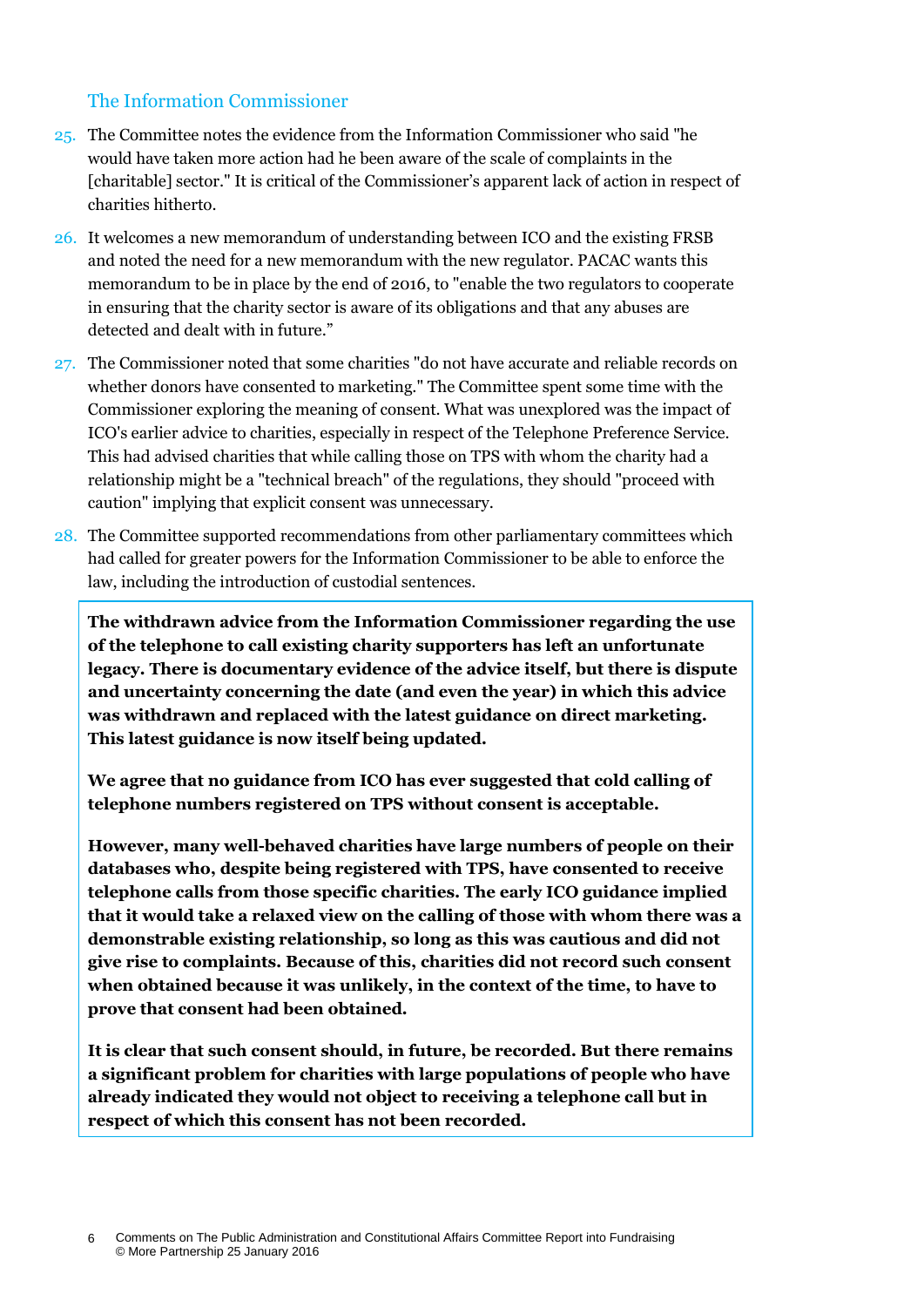### The Information Commissioner

- 25. The Committee notes the evidence from the Information Commissioner who said "he would have taken more action had he been aware of the scale of complaints in the [charitable] sector." It is critical of the Commissioner's apparent lack of action in respect of charities hitherto.
- 26. It welcomes a new memorandum of understanding between ICO and the existing FRSB and noted the need for a new memorandum with the new regulator. PACAC wants this memorandum to be in place by the end of 2016, to "enable the two regulators to cooperate in ensuring that the charity sector is aware of its obligations and that any abuses are detected and dealt with in future."
- 27. The Commissioner noted that some charities "do not have accurate and reliable records on whether donors have consented to marketing." The Committee spent some time with the Commissioner exploring the meaning of consent. What was unexplored was the impact of ICO's earlier advice to charities, especially in respect of the Telephone Preference Service. This had advised charities that while calling those on TPS with whom the charity had a relationship might be a "technical breach" of the regulations, they should "proceed with caution" implying that explicit consent was unnecessary.
- 28. The Committee supported recommendations from other parliamentary committees which had called for greater powers for the Information Commissioner to be able to enforce the law, including the introduction of custodial sentences.

**The withdrawn advice from the Information Commissioner regarding the use of the telephone to call existing charity supporters has left an unfortunate legacy. There is documentary evidence of the advice itself, but there is dispute and uncertainty concerning the date (and even the year) in which this advice was withdrawn and replaced with the latest guidance on direct marketing. This latest guidance is now itself being updated.**

**We agree that no guidance from ICO has ever suggested that cold calling of telephone numbers registered on TPS without consent is acceptable.** 

**However, many well-behaved charities have large numbers of people on their databases who, despite being registered with TPS, have consented to receive telephone calls from those specific charities. The early ICO guidance implied that it would take a relaxed view on the calling of those with whom there was a demonstrable existing relationship, so long as this was cautious and did not give rise to complaints. Because of this, charities did not record such consent when obtained because it was unlikely, in the context of the time, to have to prove that consent had been obtained.**

**It is clear that such consent should, in future, be recorded. But there remains a significant problem for charities with large populations of people who have already indicated they would not object to receiving a telephone call but in respect of which this consent has not been recorded.**